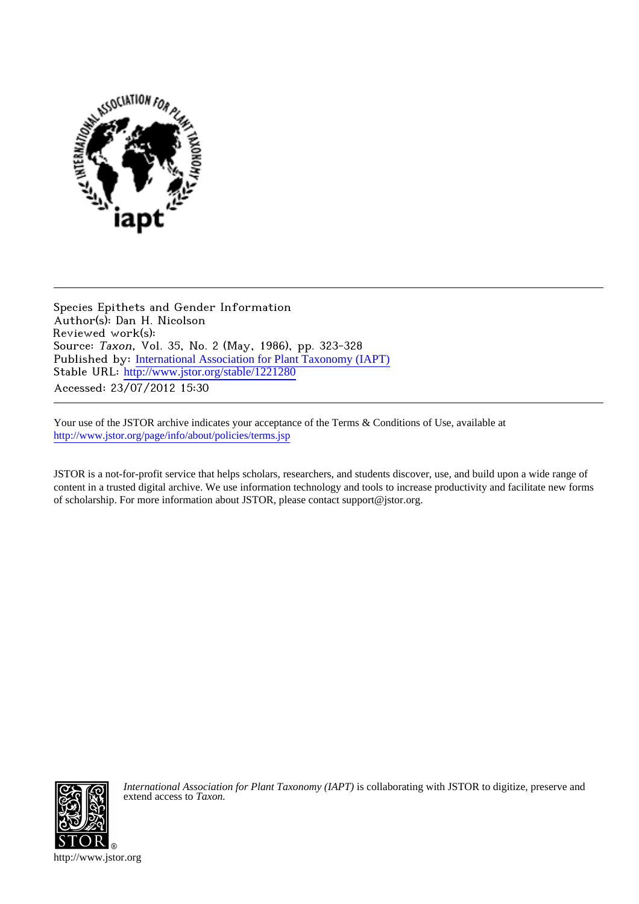

Species Epithets and Gender Information Author(s): Dan H. Nicolson Reviewed work(s): Source: Taxon, Vol. 35, No. 2 (May, 1986), pp. 323-328 Published by: [International Association for Plant Taxonomy \(IAPT\)](http://www.jstor.org/action/showPublisher?publisherCode=iapt) Stable URL: [http://www.jstor.org/stable/1221280](http://www.jstor.org/stable/1221280?origin=JSTOR-pdf) Accessed: 23/07/2012 15:30

Your use of the JSTOR archive indicates your acceptance of the Terms & Conditions of Use, available at <http://www.jstor.org/page/info/about/policies/terms.jsp>

JSTOR is a not-for-profit service that helps scholars, researchers, and students discover, use, and build upon a wide range of content in a trusted digital archive. We use information technology and tools to increase productivity and facilitate new forms of scholarship. For more information about JSTOR, please contact support@jstor.org.



*International Association for Plant Taxonomy (IAPT)* is collaborating with JSTOR to digitize, preserve and extend access to *Taxon.*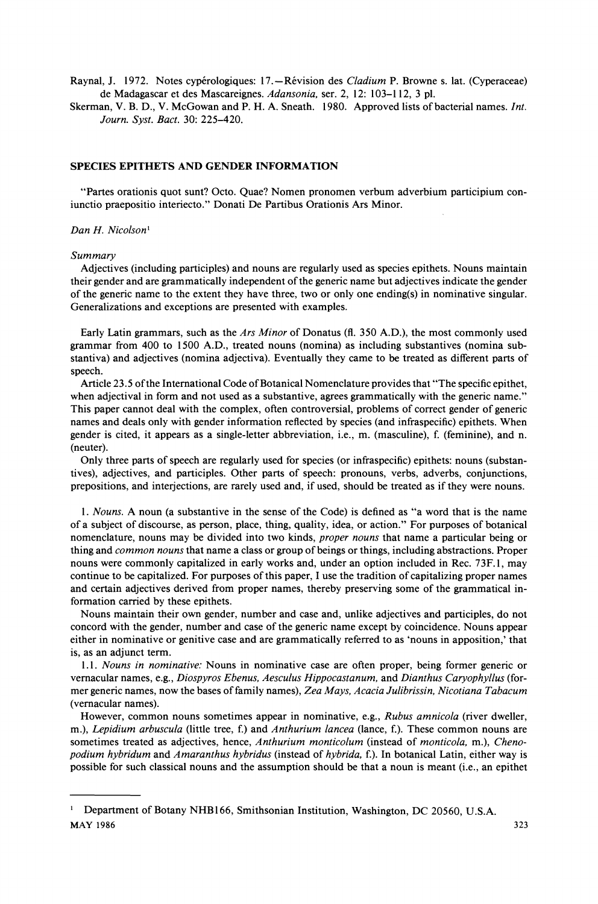Raynal, J. 1972. Notes cypérologiques: 17.—Révision des *Cladium* P. Browne s. lat. (Cyperaceae) **de Madagascar et des Mascareignes. Adansonia, ser. 2, 12: 103-112, 3 pl.** 

**Skerman, V. B. D., V. McGowan and P. H. A. Sneath. 1980. Approved lists of bacterial names. Int. Journ. Syst. Bact. 30: 225-420.** 

## **SPECIES EPITHETS AND GENDER INFORMATION**

**"Partes orationis quot sunt? Octo. Quae? Nomen pronomen verbum adverbium participium coniunctio praepositio interiecto." Donati De Partibus Orationis Ars Minor.** 

#### **Dan H. Nicolson'**

#### **Summary**

**Adjectives (including participles) and nouns are regularly used as species epithets. Nouns maintain their gender and are grammatically independent of the generic name but adjectives indicate the gender of the generic name to the extent they have three, two or only one ending(s) in nominative singular. Generalizations and exceptions are presented with examples.** 

**Early Latin grammars, such as the Ars Minor of Donatus (fl. 350 A.D.), the most commonly used grammar from 400 to 1500 A.D., treated nouns (nomina) as including substantives (nomina substantiva) and adjectives (nomina adjectiva). Eventually they came to be treated as different parts of speech.** 

**Article 23.5 of the International Code of Botanical Nomenclature provides that "The specific epithet, when adjectival in form and not used as a substantive, agrees grammatically with the generic name." This paper cannot deal with the complex, often controversial, problems of correct gender of generic names and deals only with gender information reflected by species (and infraspecific) epithets. When gender is cited, it appears as a single-letter abbreviation, i.e., m. (masculine), f. (feminine), and n. (neuter).** 

**Only three parts of speech are regularly used for species (or infraspecific) epithets: nouns (substantives), adjectives, and participles. Other parts of speech: pronouns, verbs, adverbs, conjunctions, prepositions, and interjections, are rarely used and, if used, should be treated as if they were nouns.** 

**1. Nouns. A noun (a substantive in the sense of the Code) is defined as "a word that is the name of a subject of discourse, as person, place, thing, quality, idea, or action." For purposes of botanical nomenclature, nouns may be divided into two kinds, proper nouns that name a particular being or thing and common nouns that name a class or group of beings or things, including abstractions. Proper nouns were commonly capitalized in early works and, under an option included in Rec. 73F. 1, may continue to be capitalized. For purposes of this paper, I use the tradition of capitalizing proper names and certain adjectives derived from proper names, thereby preserving some of the grammatical information carried by these epithets.** 

**Nouns maintain their own gender, number and case and, unlike adjectives and participles, do not concord with the gender, number and case of the generic name except by coincidence. Nouns appear either in nominative or genitive case and are grammatically referred to as 'nouns in apposition,' that is, as an adjunct term.** 

**1.1. Nouns in nominative: Nouns in nominative case are often proper, being former generic or vernacular names, e.g., Diospyros Ebenus, Aesculus Hippocastanum, and Dianthus Caryophyllus (former generic names, now the bases of family names), Zea Mays, Acacia Julibrissin, Nicotiana Tabacum (vernacular names).** 

**However, common nouns sometimes appear in nominative, e.g., Rubus amnicola (river dweller, m.), Lepidium arbuscula (little tree, f.) and Anthurium lancea (lance, f.). These common nouns are**  sometimes treated as adjectives, hence, Anthurium monticolum (instead of monticola, m.), Cheno**podium hybridum and Amaranthus hybridus (instead of hybrida, f.). In botanical Latin, either way is possible for such classical nouns and the assumption should be that a noun is meant (i.e., an epithet** 

<sup>&</sup>lt;sup>1</sup> Department of Botany NHB166, Smithsonian Institution, Washington, DC 20560, U.S.A. **MAY 1986** 323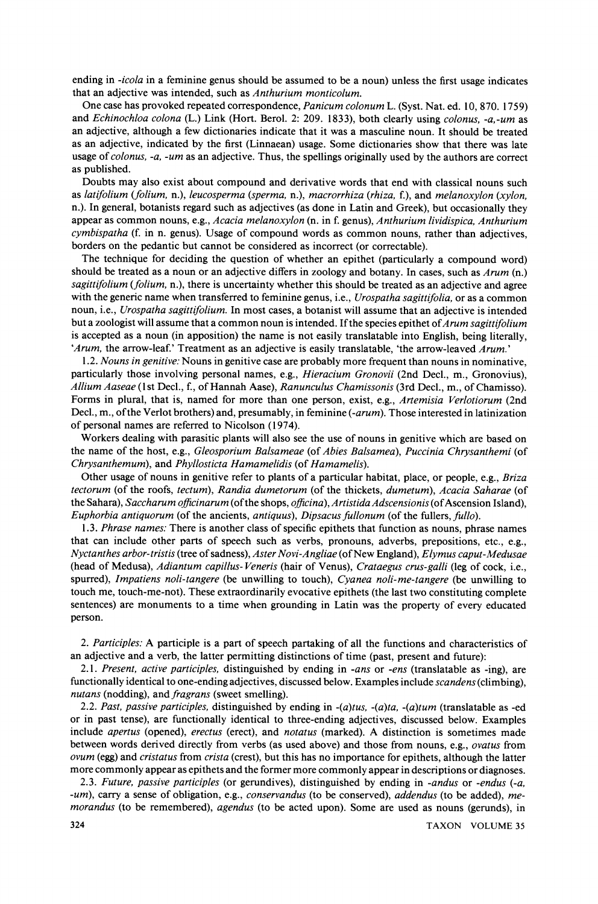**ending in -icola in a feminine genus should be assumed to be a noun) unless the first usage indicates that an adjective was intended, such as Anthurium monticolum.** 

**One case has provoked repeated correspondence, Panicum colonum L. (Syst. Nat. ed. 10, 870. 1759) and Echinochloa colona (L.) Link (Hort. Berol. 2: 209. 1833), both clearly using colonus, -a,-um as an adjective, although a few dictionaries indicate that it was a masculine noun. It should be treated as an adjective, indicated by the first (Linnaean) usage. Some dictionaries show that there was late usage of colonus, -a, -um as an adjective. Thus, the spellings originally used by the authors are correct as published.** 

**Doubts may also exist about compound and derivative words that end with classical nouns such as latifolium (folium, n.), leucosperma (sperma, n.), macrorrhiza (rhiza, f.), and melanoxylon (xylon, n.). In general, botanists regard such as adjectives (as done in Latin and Greek), but occasionally they appear as common nouns, e.g., Acacia melanoxylon (n. in f. genus), Anthurium lividispica, Anthurium cymbispatha (f. in n. genus). Usage of compound words as common nouns, rather than adjectives, borders on the pedantic but cannot be considered as incorrect (or correctable).** 

**The technique for deciding the question of whether an epithet (particularly a compound word) should be treated as a noun or an adjective differs in zoology and botany. In cases, such as Arum (n.) sagittifolium (folium, n.), there is uncertainty whether this should be treated as an adjective and agree with the generic name when transferred to feminine genus, i.e., Urospatha sagittifolia, or as a common noun, i.e., Urospatha sagittifolium. In most cases, a botanist will assume that an adjective is intended**  but a zoologist will assume that a common noun is intended. If the species epithet of Arum sagittifolium **is accepted as a noun (in apposition) the name is not easily translatable into English, being literally, 'Arum, the arrow-leaf.' Treatment as an adjective is easily translatable, 'the arrow-leaved Arum.'** 

**1.2. Nouns in genitive: Nouns in genitive case are probably more frequent than nouns in nominative, particularly those involving personal names, e.g., Hieracium Gronovii (2nd Decl., m., Gronovius), Allium Aaseae (1st Decl., f., of Hannah Aase), Ranunculus Chamissonis (3rd Decl., m., of Chamisso). Forms in plural, that is, named for more than one person, exist, e.g., Artemisia Verlotiorum (2nd Decl., m., of the Verlot brothers) and, presumably, in feminine (-arum). Those interested in latinization of personal names are referred to Nicolson (1974).** 

**Workers dealing with parasitic plants will also see the use of nouns in genitive which are based on the name of the host, e.g., Gleosporium Balsameae (of Abies Balsamea), Puccinia Chrysanthemi (of Chrysanthemum), and Phyllosticta Hamamelidis (of Hamamelis).** 

**Other usage of nouns in genitive refer to plants of a particular habitat, place, or people, e.g., Briza tectorum (of the roofs, tectum), Randia dumetorum (of the thickets, dumetum), Acacia Saharae (of the Sahara), Saccharum officinarum (of the shops, officina), Artistida Adscensionis (of Ascension Island), Euphorbia antiquorum (of the ancients, antiquus), Dipsacus fullonum (of the fullers, fullo).** 

**1.3. Phrase names: There is another class of specific epithets that function as nouns, phrase names that can include other parts of speech such as verbs, pronouns, adverbs, prepositions, etc., e.g., Nyctanthes arbor-tristis (tree of sadness), Aster Novi-Angliae (of New England), Elymus caput-Medusae (head of Medusa), Adiantum capillus- Veneris (hair of Venus), Crataegus crus-galli (leg of cock, i.e., spurred), Impatiens noli-tangere (be unwilling to touch), Cyanea noli-me-tangere (be unwilling to touch me, touch-me-not). These extraordinarily evocative epithets (the last two constituting complete sentences) are monuments to a time when grounding in Latin was the property of every educated person.** 

**2. Participles: A participle is a part of speech partaking of all the functions and characteristics of an adjective and a verb, the latter permitting distinctions of time (past, present and future):** 

**2.1. Present, active participles, distinguished by ending in -ans or -ens (translatable as -ing), are**  functionally identical to one-ending adjectives, discussed below. Examples include *scandens* (climbing), **nutans (nodding), and fragrans (sweet smelling).** 

**2.2. Past, passive participles, distinguished by ending in -(a)tus, -(a)ta, -(a)tum (translatable as -ed or in past tense), are functionally identical to three-ending adjectives, discussed below. Examples include apertus (opened), erectus (erect), and notatus (marked). A distinction is sometimes made between words derived directly from verbs (as used above) and those from nouns, e.g., ovatus from ovum (egg) and cristatus from crista (crest), but this has no importance for epithets, although the latter more commonly appear as epithets and the former more commonly appear in descriptions or diagnoses.** 

**2.3. Future, passive participles (or gerundives), distinguished by ending in -andus or -endus (-a, -um), carry a sense of obligation, e.g., conservandus (to be conserved), addendus (to be added), memorandus (to be remembered), agendus (to be acted upon). Some are used as nouns (gerunds), in**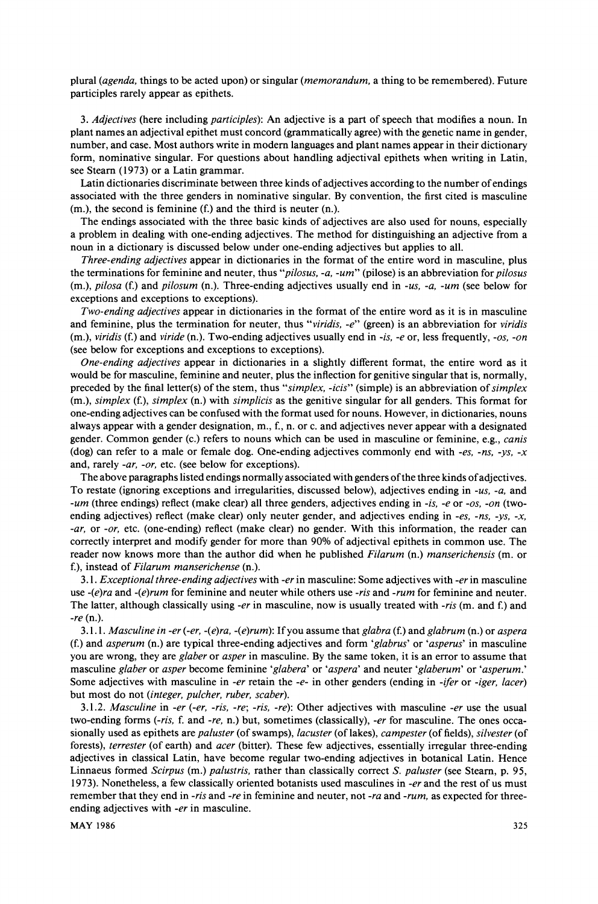**plural (agenda, things to be acted upon) or singular (memorandum, a thing to be remembered). Future participles rarely appear as epithets.** 

**3. Adjectives (here including participles): An adjective is a part of speech that modifies a noun. In plant names an adjectival epithet must concord (grammatically agree) with the genetic name in gender,**  number, and case. Most authors write in modern languages and plant names appear in their dictionary **form, nominative singular. For questions about handling adjectival epithets when writing in Latin, see Steam (1973) or a Latin grammar.** 

**Latin dictionaries discriminate between three kinds of adjectives according to the number of endings associated with the three genders in nominative singular. By convention, the first cited is masculine (m.), the second is feminine (f.) and the third is neuter (n.).** 

**The endings associated with the three basic kinds of adjectives are also used for nouns, especially a problem in dealing with one-ending adjectives. The method for distinguishing an adjective from a noun in a dictionary is discussed below under one-ending adjectives but applies to all.** 

**Three-ending adjectives appear in dictionaries in the format of the entire word in masculine, plus the terminations for feminine and neuter, thus "pilosus, -a, -ur" (pilose) is an abbreviation for pilosus (m.), pilosa (f.) and pilosum (n.). Three-ending adjectives usually end in -us, -a, -um (see below for exceptions and exceptions to exceptions).** 

**Two-ending adjectives appear in dictionaries in the format of the entire word as it is in masculine and feminine, plus the termination for neuter, thus "viridis, -e" (green) is an abbreviation for viridis (m.), viridis (f.) and viride (n.). Two-ending adjectives usually end in -is, -e or, less frequently, -os, -on (see below for exceptions and exceptions to exceptions).** 

**One-ending adjectives appear in dictionaries in a slightly different format, the entire word as it would be for masculine, feminine and neuter, plus the inflection for genitive singular that is, normally, preceded by the final letter(s) of the stem, thus "simplex, -icis" (simple) is an abbreviation of simplex (m.), simplex (f.), simplex (n.) with simplicis as the genitive singular for all genders. This format for one-ending adjectives can be confused with the format used for nouns. However, in dictionaries, nouns always appear with a gender designation, m., f., n. or c. and adjectives never appear with a designated gender. Common gender (c.) refers to nouns which can be used in masculine or feminine, e.g., canis (dog) can refer to a male or female dog. One-ending adjectives commonly end with -es, -ns, -ys, -x and, rarely -ar, -or, etc. (see below for exceptions).** 

**The above paragraphs listed endings normally associated with genders of the three kinds of adjectives. To restate (ignoring exceptions and irregularities, discussed below), adjectives ending in -us, -a, and -um (three endings) reflect (make clear) all three genders, adjectives ending in -is, -e or -os, -on (twoending adjectives) reflect (make clear) only neuter gender, and adjectives ending in -es, -ns, -ys, -x, -ar, or -or, etc. (one-ending) reflect (make clear) no gender. With this information, the reader can correctly interpret and modify gender for more than 90% of adjectival epithets in common use. The reader now knows more than the author did when he published Filarum (n.) manserichensis (m. or f.), instead of Filarum manserichense (n.).** 

**3.1. Exceptional three-ending adjectives with -er in masculine: Some adjectives with -er in masculine use -(e)ra and -(e)rum for feminine and neuter while others use -ris and -rum for feminine and neuter.**  The latter, although classically using -er in masculine, now is usually treated with -ris (m. and f.) and **-re (n.).** 

**3.1.1. Masculine in -er (-er, -(e)ra, -(e)rum): If you assume that glabra (f.) and glabrum (n.) or aspera (f.) and asperum (n.) are typical three-ending adjectives and form 'glabrus' or 'asperus' in masculine you are wrong, they are glaber or asper in masculine. By the same token, it is an error to assume that masculine glaber or asper become feminine 'glabera' or 'aspera' and neuter 'glaberum' or 'asperum.'**  Some adjectives with masculine in *-er* retain the *-e-* in other genders (ending in *-ifer* or *-iger*, *lacer*) **but most do not (integer, pulcher, ruber, scaber).** 

**3.1.2. Masculine in -er (-er, -ris, -re; -ris, -re): Other adjectives with masculine -er use the usual**  two-ending forms (-ris, f. and -re, n.) but, sometimes (classically), -er for masculine. The ones occa**sionally used as epithets are paluster (of swamps), lacuster (of lakes), campester (of fields), silvester (of forests), terrester (of earth) and acer (bitter). These few adjectives, essentially irregular three-ending adjectives in classical Latin, have become regular two-ending adjectives in botanical Latin. Hence Linnaeus formed Scirpus (m.) palustris, rather than classically correct S. paluster (see Steam, p. 95, 1973). Nonetheless, a few classically oriented botanists used masculines in -er and the rest of us must remember that they end in -ris and -re in feminine and neuter, not -ra and -rum, as expected for threeending adjectives with -er in masculine.**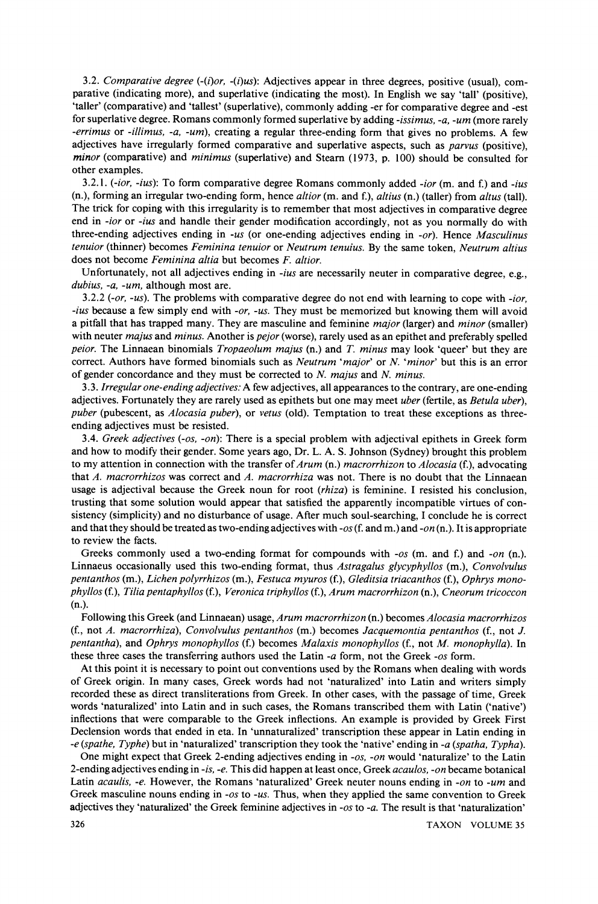**3.2. Comparative degree (-(i)or, -(i)us): Adjectives appear in three degrees, positive (usual), comparative (indicating more), and superlative (indicating the most). In English we say 'tall' (positive), 'taller' (comparative) and 'tallest' (superlative), commonly adding -er for comparative degree and -est for superlative degree. Romans commonly formed superlative by adding -issimus, -a, -ur (more rarely -errimus or -illimus, -a, -um), creating a regular three-ending form that gives no problems. A few adjectives have irregularly formed comparative and superlative aspects, such as parvus (positive), minor (comparative) and minimus (superlative) and Steam (1973, p. 100) should be consulted for other examples.** 

**3.2.1. (-ior, -ius): To form comparative degree Romans commonly added -ior (m. and f.) and -ius (n.), forming an irregular two-ending form, hence altior (m. and f.), altius (n.) (taller) from altus (tall). The trick for coping with this irregularity is to remember that most adjectives in comparative degree end in -ior or -ius and handle their gender modification accordingly, not as you normally do with three-ending adjectives ending in -us (or one-ending adjectives ending in -or). Hence Masculinus tenuior (thinner) becomes Feminina tenuior or Neutrum tenuius. By the same token, Neutrum altius does not become Feminina altia but becomes F. altior.** 

**Unfortunately, not all adjectives ending in -ius are necessarily neuter in comparative degree, e.g., dubius, -a, -um, although most are.** 

**3.2.2 (-or, -us). The problems with comparative degree do not end with learning to cope with -ior, -ius because a few simply end with -or, -us. They must be memorized but knowing them will avoid a pitfall that has trapped many. They are masculine and feminine major (larger) and minor (smaller) with neuter majus and minus. Another is pejor (worse), rarely used as an epithet and preferably spelled peior. The Linnaean binomials Tropaeolum majus (n.) and T. minus may look 'queer' but they are correct. Authors have formed binomials such as Neutrum 'major' or N. 'minor' but this is an error of gender concordance and they must be corrected to N. majus and N. minus.** 

**3.3. Irregular one-ending adjectives: A few adjectives, all appearances to the contrary, are one-ending adjectives. Fortunately they are rarely used as epithets but one may meet uber (fertile, as Betula uber),**  puber (pubescent, as *Alocasia puber*), or *vetus* (old). Temptation to treat these exceptions as three**ending adjectives must be resisted.** 

**3.4. Greek adjectives (-os, -on): There is a special problem with adjectival epithets in Greek form and how to modify their gender. Some years ago, Dr. L. A. S. Johnson (Sydney) brought this problem to my attention in connection with the transfer of Arum (n.) macrorrhizon to Alocasia (f.), advocating that A. macrorrhizos was correct and A. macrorrhiza was not. There is no doubt that the Linnaean usage is adjectival because the Greek noun for root (rhiza) is feminine. I resisted his conclusion, trusting that some solution would appear that satisfied the apparently incompatible virtues of consistency (simplicity) and no disturbance of usage. After much soul-searching, I conclude he is correct and that they should be treated as two-ending adjectives with -os (f. and m.) and -on (n.). It is appropriate to review the facts.** 

Greeks commonly used a two-ending format for compounds with -os (m. and f.) and -on (n.). **Linnaeus occasionally used this two-ending format, thus Astragalus glycyphyllos (m.), Convolvulus pentanthos (m.), Lichen polyrrhizos (m.), Festuca myuros (f.), Gleditsia triacanthos (f.), Ophrys monophyllos (f.), Tilia pentaphyllos (f.), Veronica triphyllos (f.), Arum macrorrhizon (n.), Cneorum tricoccon (n.).** 

**Following this Greek (and Linnaean) usage, Arum macrorrhizon (n.) becomes Alocasia macrorrhizos (f., not A. macrorrhiza), Convolvulus pentanthos (m.) becomes Jacquemontia pentanthos (f., not J. pentantha), and Ophrys monophyllos (f.) becomes Malaxis monophyllos (f., not M. monophylla). In these three cases the transferring authors used the Latin -a form, not the Greek -os form.** 

**At this point it is necessary to point out conventions used by the Romans when dealing with words of Greek origin. In many cases, Greek words had not 'naturalized' into Latin and writers simply recorded these as direct transliterations from Greek. In other cases, with the passage of time, Greek words 'naturalized' into Latin and in such cases, the Romans transcribed them with Latin ('native') inflections that were comparable to the Greek inflections. An example is provided by Greek First Declension words that ended in eta. In 'unnaturalized' transcription these appear in Latin ending in -e (spathe, Typhe) but in 'naturalized' transcription they took the 'native' ending in -a (spatha, Typha).** 

One might expect that Greek 2-ending adjectives ending in -*os*, -*on* would 'naturalize' to the Latin **2-ending adjectives ending in -is, -e. This did happen at least once, Greek acaulos, -on became botanical**  Latin acaulis, -e. However, the Romans 'naturalized' Greek neuter nouns ending in -on to -um and Greek masculine nouns ending in -os to -us. Thus, when they applied the same convention to Greek **adjectives they 'naturalized' the Greek feminine adjectives in -os to -a. The result is that 'naturalization'**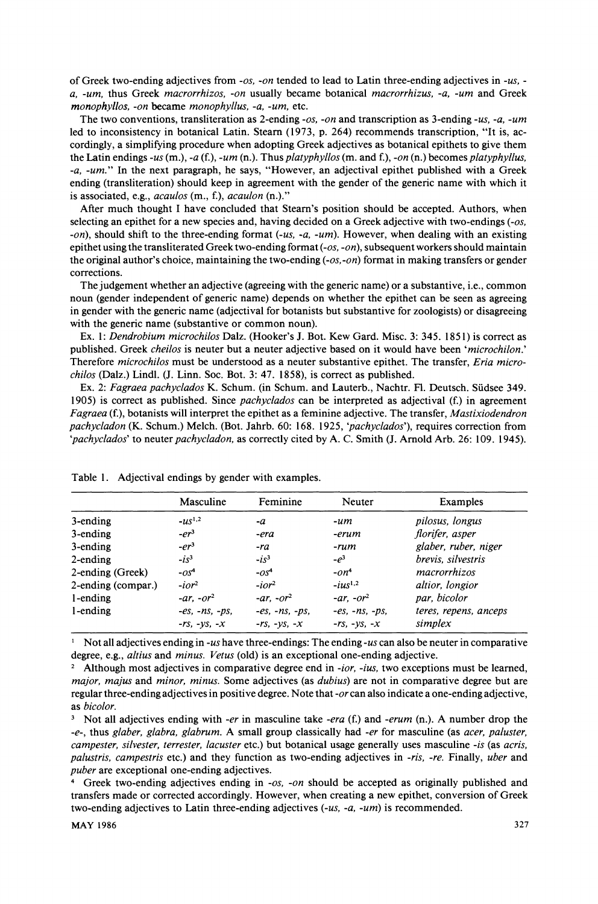**of Greek two-ending adjectives from -os, -on tended to lead to Latin three-ending adjectives in -us, a, -um, thus Greek macrorrhizos, -on usually became botanical macrorrhizus, -a, -um and Greek monophyllos, -on became monophyllus, -a, -um, etc.** 

**The two conventions, transliteration as 2-ending -os, -on and transcription as 3-ending -us, -a, -um led to inconsistency in botanical Latin. Steam (1973, p. 264) recommends transcription, "It is, accordingly, a simplifying procedure when adopting Greek adjectives as botanical epithets to give them**  the Latin endings -us  $(m.)$ , -a  $(f.)$ , -um  $(n.)$ . Thus *platyphyllos*  $(m.$  and  $f.)$ , -on  $(n.)$  becomes *platyphyllus*, **-a, -ur." In the next paragraph, he says, "However, an adjectival epithet published with a Greek ending (transliteration) should keep in agreement with the gender of the generic name with which it is associated, e.g., acaulos (m., f.), acaulon (n.)."** 

**After much thought I have concluded that Steam's position should be accepted. Authors, when selecting an epithet for a new species and, having decided on a Greek adjective with two-endings (-os, -on), should shift to the three-ending format (-us, -a, -um). However, when dealing with an existing epithet using the transliterated Greek two-ending format (-os, -on), subsequent workers should maintain the original author's choice, maintaining the two-ending (-os, -on) format in making transfers or gender corrections.** 

**The judgement whether an adjective (agreeing with the generic name) or a substantive, i.e., common noun (gender independent of generic name) depends on whether the epithet can be seen as agreeing in gender with the generic name (adjectival for botanists but substantive for zoologists) or disagreeing with the generic name (substantive or common noun).** 

**Ex. 1: Dendrobium microchilos Dalz. (Hooker's J. Bot. Kew Gard. Misc. 3: 345. 1851) is correct as published. Greek cheilos is neuter but a neuter adjective based on it would have been 'microchilon.' Therefore microchilos must be understood as a neuter substantive epithet. The transfer, Eria microchilos (Dalz.) Lindl. (J. Linn. Soc. Bot. 3: 47. 1858), is correct as published.** 

**Ex. 2: Fagraea pachyclados K. Schum. (in Schum. and Lauterb., Nachtr. Fl. Deutsch. Siidsee 349. 1905) is correct as published. Since pachyclados can be interpreted as adjectival (f.) in agreement Fagraea (f.), botanists will interpret the epithet as a feminine adjective. The transfer, Mastixiodendron pachycladon (K. Schum.) Melch. (Bot. Jahrb. 60: 168. 1925, 'pachyclados'), requires correction from 'pachyclados' to neuter pachycladon, as correctly cited by A. C. Smith (J. Arnold Arb. 26: 109. 1945).** 

|                    | Masculine        | Feminine         | Neuter               | Examples              |
|--------------------|------------------|------------------|----------------------|-----------------------|
| 3-ending           | $- u s^{1,2}$    | -a               | -um                  | pilosus, longus       |
| 3-ending           | $-er3$           | -era             | -erum                | florifer, asper       |
| 3-ending           | $-er3$           | -ra              | -rum                 | glaber, ruber, niger  |
| $2$ -ending        | $-is^3$          | $-i s3$          | $-e^3$               | brevis, silvestris    |
| 2-ending (Greek)   | $-OS4$           | $-OS4$           | $-On4$               | macrorrhizos          |
| 2-ending (compar.) | $-ior^2$         | $-10r^2$         | $-ius^{1,2}$         | altior, longior       |
| 1-ending           | $-ar$ , $-or^2$  | $-ar$ , $-or^2$  | $-ar$ $-or^2$        | par, bicolor          |
| l-ending           | $-es, -ns, -ps,$ | $-es. -ns. -ps.$ | $-es, -ns, -ps,$     | teres, repens, anceps |
|                    | $-rs, -ys, -x$   | $-rs, -ys, -x$   | $-rs$ , $-ys$ , $-x$ | simplex               |

**Table 1. Adjectival endings by gender with examples.** 

 $\frac{1}{1}$  Not all adjectives ending in -us have three-endings: The ending -us can also be neuter in comparative **degree, e.g., altius and minus. Vetus (old) is an exceptional one-ending adjective.** 

**<sup>2</sup>Although most adjectives in comparative degree end in -ior, -ius, two exceptions must be learned, major, majus and minor, minus. Some adjectives (as dubius) are not in comparative degree but are regular three-ending adjectives in positive degree. Note that -or can also indicate a one-ending adjective, as bicolor.** 

<sup>3</sup> Not all adjectives ending with -er in masculine take -era (f.) and -erum (n.). A number drop the **-e-, thus glaber, glabra, glabrum. A small group classically had -er for masculine (as acer, paluster, campester, silvester, terrester, lacuster etc.) but botanical usage generally uses masculine -is (as acris, palustris, campestris etc.) and they function as two-ending adjectives in -ris, -re. Finally, uber and puber are exceptional one-ending adjectives.** 

**<sup>4</sup>Greek two-ending adjectives ending in -os, -on should be accepted as originally published and transfers made or corrected accordingly. However, when creating a new epithet, conversion of Greek two-ending adjectives to Latin three-ending adjectives (-us, -a, -um) is recommended.**